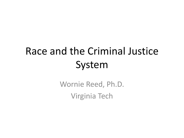# Race and the Criminal Justice System

Wornie Reed, Ph.D. Virginia Tech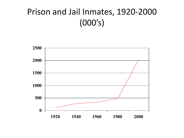### Prison and Jail Inmates, 1920-2000 (000's)

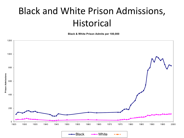## Black and White Prison Admissions, Historical

**Black & White Prison Admits per 100,000**



-Black - White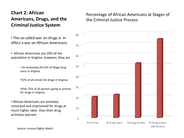#### **Chart 2: African Americans, Drugs, and the Criminal Justice System**

 $\Omega$ 10 20 30 40 50 60 70 80 % Va Pop % Drug users % Drug arrests % Drug prison

#### Percentage of African Americans at Stages of the Criminal Justice Process

admissions

- The so-called war on drugs is in effect a war on African Americans:
- African Americans are 20% of the population in Virginia: however, they are
	- An estimated 20-23% of illegal drug users in Virginia.
	- •52% of all arrests for drugs in Virginia.
	- •Over 75% of all persons going to prisons for drugs in Virginia.
- African Americans are arrested, convicted and imprisoned for drugs at much higher rates than their drug activities warrant.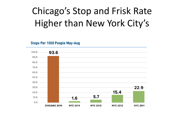# Chicago's Stop and Frisk Rate Higher than New York City's

**Stops Per 1000 People May-Aug** 

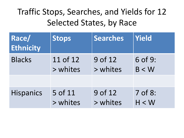### Traffic Stops, Searches, and Yields for 12 Selected States, by Race

| Race/<br><b>Ethnicity</b> | <b>Stops</b> | <b>Searches</b> | Yield   |
|---------------------------|--------------|-----------------|---------|
| <b>Blacks</b>             | 11 of 12     | 9 of 12         | 6 of 9: |
|                           | > whites     | > whites        | B < W   |
|                           |              |                 |         |
| <b>Hispanics</b>          | 5 of 11      | 9 of 12         | 7 of 8: |
|                           | > whites     | > whites        | H < W   |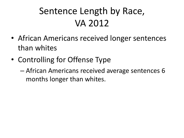# Sentence Length by Race, VA 2012

- African Americans received longer sentences than whites
- Controlling for Offense Type
	- African Americans received average sentences 6 months longer than whites.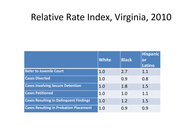### Relative Rate Index, Virginia, 2010

|                                               | <b>White</b> | <b>Black</b> | Hispanic<br>or<br>Latino |
|-----------------------------------------------|--------------|--------------|--------------------------|
| <b>Refer to Juvenile Court</b>                | 1.0          | 2.7          | 1.1                      |
| <b>Cases Diverted</b>                         | 1.0          | 0.9          | 0.8                      |
| <b>Cases Involving Secure Detention</b>       | 1.0          | 1.8          | 1.5                      |
| <b>Cases Petitioned</b>                       | 1.0          | 1.0          | 1.1                      |
| <b>Cases Resulting in Delinquent Findings</b> | 1.0          | 1.2          | 1.5                      |
| <b>Cases Resulting in Probation Placement</b> | 1.0          | 0.9          | 0.9                      |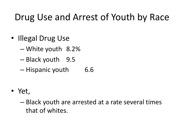## Drug Use and Arrest of Youth by Race

- Illegal Drug Use
	- White youth 8.2%
	- Black youth 9.5
	- Hispanic youth 6.6
- Yet,
	- Black youth are arrested at a rate several times that of whites.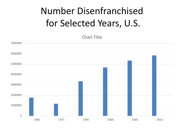# Number Disenfranchised for Selected Years, U.S.